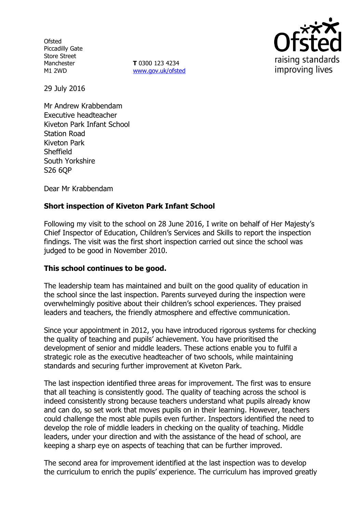**Ofsted** Piccadilly Gate Store Street Manchester M1 2WD

**T** 0300 123 4234 www.gov.uk/ofsted



29 July 2016

Mr Andrew Krabbendam Executive headteacher Kiveton Park Infant School Station Road Kiveton Park **Sheffield** South Yorkshire S26 6QP

Dear Mr Krabbendam

# **Short inspection of Kiveton Park Infant School**

Following my visit to the school on 28 June 2016, I write on behalf of Her Majesty's Chief Inspector of Education, Children's Services and Skills to report the inspection findings. The visit was the first short inspection carried out since the school was judged to be good in November 2010.

## **This school continues to be good.**

The leadership team has maintained and built on the good quality of education in the school since the last inspection. Parents surveyed during the inspection were overwhelmingly positive about their children's school experiences. They praised leaders and teachers, the friendly atmosphere and effective communication.

Since your appointment in 2012, you have introduced rigorous systems for checking the quality of teaching and pupils' achievement. You have prioritised the development of senior and middle leaders. These actions enable you to fulfil a strategic role as the executive headteacher of two schools, while maintaining standards and securing further improvement at Kiveton Park.

The last inspection identified three areas for improvement. The first was to ensure that all teaching is consistently good. The quality of teaching across the school is indeed consistently strong because teachers understand what pupils already know and can do, so set work that moves pupils on in their learning. However, teachers could challenge the most able pupils even further. Inspectors identified the need to develop the role of middle leaders in checking on the quality of teaching. Middle leaders, under your direction and with the assistance of the head of school, are keeping a sharp eye on aspects of teaching that can be further improved.

The second area for improvement identified at the last inspection was to develop the curriculum to enrich the pupils' experience. The curriculum has improved greatly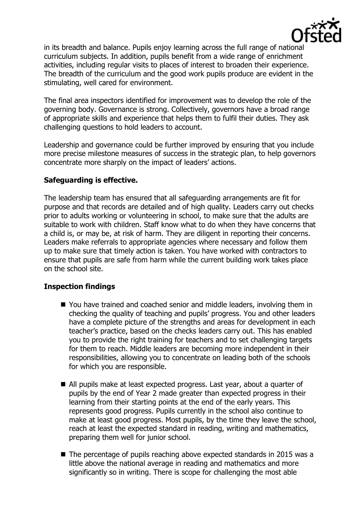

in its breadth and balance. Pupils enjoy learning across the full range of national curriculum subjects. In addition, pupils benefit from a wide range of enrichment activities, including regular visits to places of interest to broaden their experience. The breadth of the curriculum and the good work pupils produce are evident in the stimulating, well cared for environment.

The final area inspectors identified for improvement was to develop the role of the governing body. Governance is strong. Collectively, governors have a broad range of appropriate skills and experience that helps them to fulfil their duties. They ask challenging questions to hold leaders to account.

Leadership and governance could be further improved by ensuring that you include more precise milestone measures of success in the strategic plan, to help governors concentrate more sharply on the impact of leaders' actions.

## **Safeguarding is effective.**

The leadership team has ensured that all safeguarding arrangements are fit for purpose and that records are detailed and of high quality. Leaders carry out checks prior to adults working or volunteering in school, to make sure that the adults are suitable to work with children. Staff know what to do when they have concerns that a child is, or may be, at risk of harm. They are diligent in reporting their concerns. Leaders make referrals to appropriate agencies where necessary and follow them up to make sure that timely action is taken. You have worked with contractors to ensure that pupils are safe from harm while the current building work takes place on the school site.

## **Inspection findings**

- You have trained and coached senior and middle leaders, involving them in checking the quality of teaching and pupils' progress. You and other leaders have a complete picture of the strengths and areas for development in each teacher's practice, based on the checks leaders carry out. This has enabled you to provide the right training for teachers and to set challenging targets for them to reach. Middle leaders are becoming more independent in their responsibilities, allowing you to concentrate on leading both of the schools for which you are responsible.
- All pupils make at least expected progress. Last year, about a quarter of pupils by the end of Year 2 made greater than expected progress in their learning from their starting points at the end of the early years. This represents good progress. Pupils currently in the school also continue to make at least good progress. Most pupils, by the time they leave the school, reach at least the expected standard in reading, writing and mathematics, preparing them well for junior school.
- The percentage of pupils reaching above expected standards in 2015 was a little above the national average in reading and mathematics and more significantly so in writing. There is scope for challenging the most able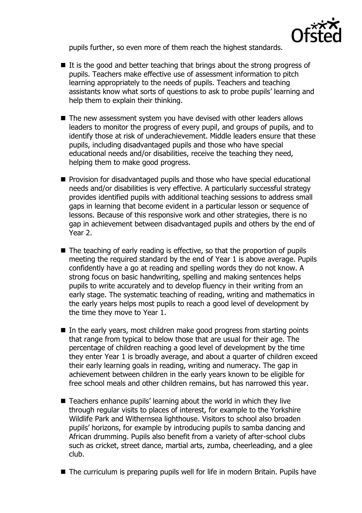

pupils further, so even more of them reach the highest standards.

- $\blacksquare$  It is the good and better teaching that brings about the strong progress of pupils. Teachers make effective use of assessment information to pitch learning appropriately to the needs of pupils. Teachers and teaching assistants know what sorts of questions to ask to probe pupils' learning and help them to explain their thinking.
- The new assessment system you have devised with other leaders allows leaders to monitor the progress of every pupil, and groups of pupils, and to identify those at risk of underachievement. Middle leaders ensure that these pupils, including disadvantaged pupils and those who have special educational needs and/or disabilities, receive the teaching they need, helping them to make good progress.
- **Provision for disadvantaged pupils and those who have special educational** needs and/or disabilities is very effective. A particularly successful strategy provides identified pupils with additional teaching sessions to address small gaps in learning that become evident in a particular lesson or sequence of lessons. Because of this responsive work and other strategies, there is no gap in achievement between disadvantaged pupils and others by the end of Year 2.
- The teaching of early reading is effective, so that the proportion of pupils meeting the required standard by the end of Year 1 is above average. Pupils confidently have a go at reading and spelling words they do not know. A strong focus on basic handwriting, spelling and making sentences helps pupils to write accurately and to develop fluency in their writing from an early stage. The systematic teaching of reading, writing and mathematics in the early years helps most pupils to reach a good level of development by the time they move to Year 1.
- In the early years, most children make good progress from starting points that range from typical to below those that are usual for their age. The percentage of children reaching a good level of development by the time they enter Year 1 is broadly average, and about a quarter of children exceed their early learning goals in reading, writing and numeracy. The gap in achievement between children in the early years known to be eligible for free school meals and other children remains, but has narrowed this year.
- Teachers enhance pupils' learning about the world in which they live through regular visits to places of interest, for example to the Yorkshire Wildlife Park and Withernsea lighthouse. Visitors to school also broaden pupils' horizons, for example by introducing pupils to samba dancing and African drumming. Pupils also benefit from a variety of after-school clubs such as cricket, street dance, martial arts, zumba, cheerleading, and a glee club.
- The curriculum is preparing pupils well for life in modern Britain. Pupils have